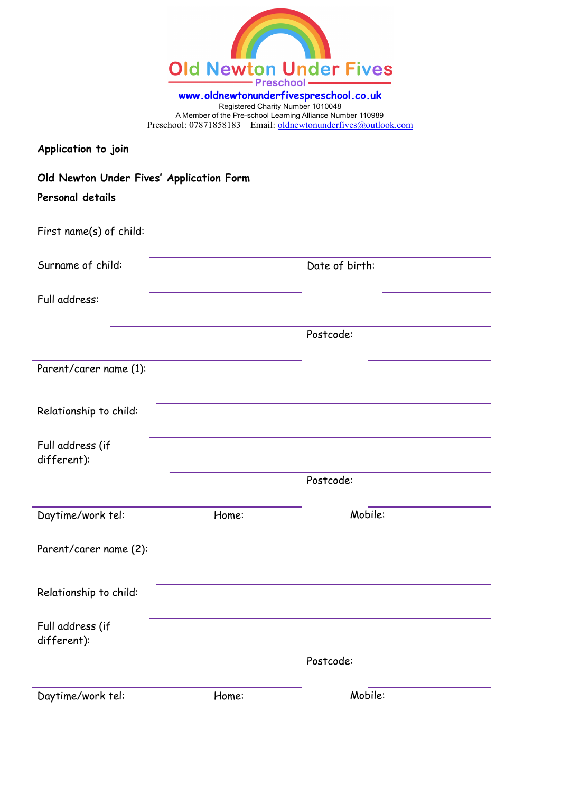| <b>Old Newton Under Fives</b><br><b>Preschool</b> |
|---------------------------------------------------|

**www.oldnewtonunderfivespreschool.co.uk** Registered Charity Number 1010048 A Member of the Pre-school Learning Alliance Number 110989 Preschool: 07871858183 Email: [oldnewtonunderfives@outlook.com](mailto:oldnewtonunderfives@outlook.com)

| Application to join                                          |       |                |  |
|--------------------------------------------------------------|-------|----------------|--|
| Old Newton Under Fives' Application Form<br>Personal details |       |                |  |
| First name(s) of child:                                      |       |                |  |
| Surname of child:                                            |       | Date of birth: |  |
| Full address:                                                |       |                |  |
|                                                              |       | Postcode:      |  |
| Parent/carer name (1):                                       |       |                |  |
| Relationship to child:                                       |       |                |  |
| Full address (if<br>different):                              |       |                |  |
|                                                              |       | Postcode:      |  |
| Daytime/work tel:                                            | Home: | Mobile:        |  |
| Parent/carer name (2):                                       |       |                |  |
| Relationship to child:                                       |       |                |  |
| Full address (if<br>different):                              |       |                |  |
|                                                              |       | Postcode:      |  |
| Daytime/work tel:                                            | Home: | Mobile:        |  |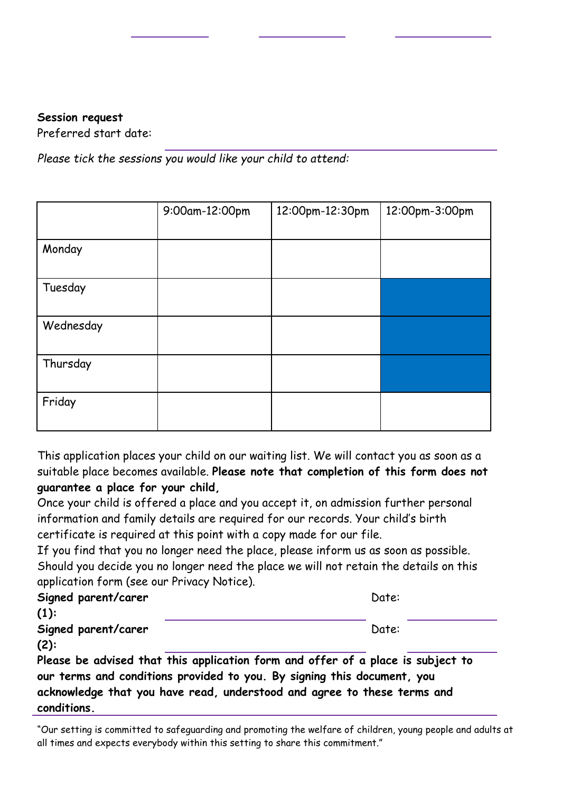## **Session request**

Preferred start date:

*Please tick the sessions you would like your child to attend:*

|           | 9:00am-12:00pm | 12:00pm-12:30pm | 12:00pm-3:00pm |
|-----------|----------------|-----------------|----------------|
|           |                |                 |                |
| Monday    |                |                 |                |
|           |                |                 |                |
| Tuesday   |                |                 |                |
|           |                |                 |                |
| Wednesday |                |                 |                |
|           |                |                 |                |
| Thursday  |                |                 |                |
|           |                |                 |                |
| Friday    |                |                 |                |
|           |                |                 |                |

This application places your child on our waiting list. We will contact you as soon as a suitable place becomes available. **Please note that completion of this form does not guarantee a place for your child,**

Once your child is offered a place and you accept it, on admission further personal information and family details are required for our records. Your child's birth certificate is required at this point with a copy made for our file.

If you find that you no longer need the place, please inform us as soon as possible. Should you decide you no longer need the place we will not retain the details on this application form (see our Privacy Notice).

| Signed parent/carer                                                             | Date: |  |  |  |  |  |
|---------------------------------------------------------------------------------|-------|--|--|--|--|--|
| $(1)$ :                                                                         |       |  |  |  |  |  |
| Signed parent/carer                                                             | Date: |  |  |  |  |  |
| $(2)$ :                                                                         |       |  |  |  |  |  |
| Please be advised that this application form and offer of a place is subject to |       |  |  |  |  |  |
| our terms and conditions provided to you. By signing this document, you         |       |  |  |  |  |  |

**acknowledge that you have read, understood and agree to these terms and conditions.**

"Our setting is committed to safeguarding and promoting the welfare of children, young people and adults at all times and expects everybody within this setting to share this commitment."